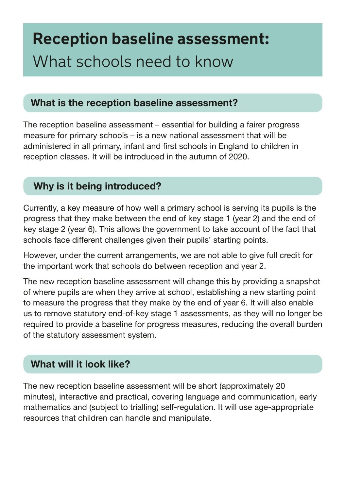# **Reception baseline assessment:** What schools need to know

#### What is the reception baseline assessment?

The reception baseline assessment – essential for building a fairer progress measure for primary schools – is a new national assessment that will be administered in all primary, infant and frst schools in England to children in reception classes. It will be introduced in the autumn of 2020.

## Why is it being introduced?

Currently, a key measure of how well a primary school is serving its pupils is the progress that they make between the end of key stage 1 (year 2) and the end of key stage 2 (year 6). This allows the government to take account of the fact that schools face different challenges given their pupils' starting points.

However, under the current arrangements, we are not able to give full credit for the important work that schools do between reception and year 2.

The new reception baseline assessment will change this by providing a snapshot of where pupils are when they arrive at school, establishing a new starting point to measure the progress that they make by the end of year 6. It will also enable us to remove statutory end-of-key stage 1 assessments, as they will no longer be required to provide a baseline for progress measures, reducing the overall burden of the statutory assessment system.

## What will it look like?

The new reception baseline assessment will be short (approximately 20 minutes), interactive and practical, covering language and communication, early mathematics and (subject to trialling) self-regulation. It will use age-appropriate resources that children can handle and manipulate.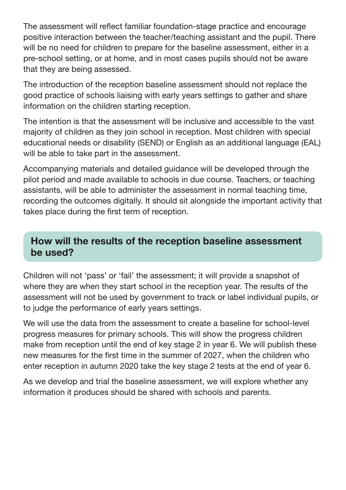The assessment will refect familiar foundation-stage practice and encourage positive interaction between the teacher/teaching assistant and the pupil. There will be no need for children to prepare for the baseline assessment, either in a pre-school setting, or at home, and in most cases pupils should not be aware that they are being assessed.

The introduction of the reception baseline assessment should not replace the good practice of schools liaising with early years settings to gather and share information on the children starting reception.

The intention is that the assessment will be inclusive and accessible to the vast majority of children as they join school in reception. Most children with special educational needs or disability (SEND) or English as an additional language (EAL) will be able to take part in the assessment.

Accompanying materials and detailed guidance will be developed through the pilot period and made available to schools in due course. Teachers, or teaching assistants, will be able to administer the assessment in normal teaching time, recording the outcomes digitally. It should sit alongside the important activity that takes place during the first term of reception.

#### How will the results of the reception baseline assessment be used?

Children will not 'pass' or 'fail' the assessment; it will provide a snapshot of where they are when they start school in the reception year. The results of the assessment will not be used by government to track or label individual pupils, or to judge the performance of early years settings.

We will use the data from the assessment to create a baseline for school-level progress measures for primary schools. This will show the progress children make from reception until the end of key stage 2 in year 6. We will publish these new measures for the frst time in the summer of 2027, when the children who enter reception in autumn 2020 take the key stage 2 tests at the end of year 6.

As we develop and trial the baseline assessment, we will explore whether any information it produces should be shared with schools and parents.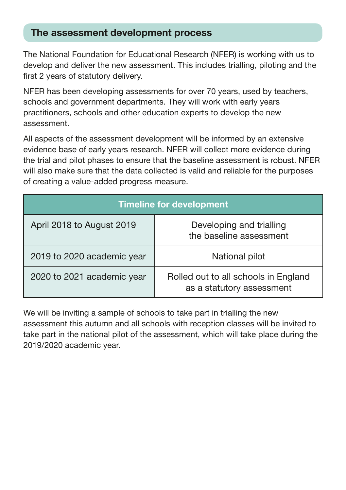#### The assessment development process

The National Foundation for Educational Research (NFER) is working with us to develop and deliver the new assessment. This includes trialling, piloting and the first 2 years of statutory delivery.

NFER has been developing assessments for over 70 years, used by teachers, schools and government departments. They will work with early years practitioners, schools and other education experts to develop the new assessment.

All aspects of the assessment development will be informed by an extensive evidence base of early years research. NFER will collect more evidence during the trial and pilot phases to ensure that the baseline assessment is robust. NFER will also make sure that the data collected is valid and reliable for the purposes of creating a value-added progress measure.

| <b>Timeline for development</b> |                                                                   |
|---------------------------------|-------------------------------------------------------------------|
| April 2018 to August 2019       | Developing and trialling<br>the baseline assessment               |
| 2019 to 2020 academic year      | National pilot                                                    |
| 2020 to 2021 academic year      | Rolled out to all schools in England<br>as a statutory assessment |

We will be inviting a sample of schools to take part in trialling the new assessment this autumn and all schools with reception classes will be invited to take part in the national pilot of the assessment, which will take place during the 2019/2020 academic year.